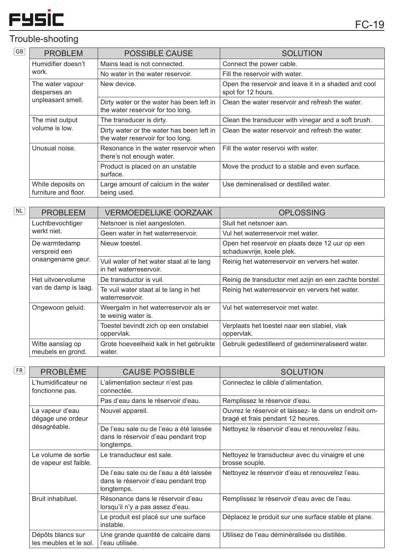

## Trouble-shooting GB

| <b>PROBLEM</b>                            | <b>POSSIBLE CAUSE</b>                                                          | <b>SOLUTION</b>                                                            |
|-------------------------------------------|--------------------------------------------------------------------------------|----------------------------------------------------------------------------|
| Humidifier doesn't                        | Mains lead is not connected.                                                   | Connect the power cable.                                                   |
| work.                                     | No water in the water reservoir.                                               | Fill the reservoir with water.                                             |
| The water vapour<br>desperses an          | New device.                                                                    | Open the reservoir and leave it in a shaded and cool<br>spot for 12 hours. |
| unpleasant smell.                         | Dirty water or the water has been left in<br>the water reservoir for too long. | Clean the water reservoir and refresh the water.                           |
| The mist output                           | The transducer is dirty.                                                       | Clean the transducer with vinegar and a soft brush.                        |
| volume is low.                            | Dirty water or the water has been left in<br>the water reservoir for too long. | Clean the water reservoir and refresh the water.                           |
| Unusual noise.                            | Resonance in the water reservoir when<br>there's not enough water.             | Fill the water reservol with water.                                        |
|                                           | Product is placed on an unstable<br>surface.                                   | Move the product to a stable and even surface.                             |
| White deposits on<br>furniture and floor. | Large amount of calcium in the water<br>being used.                            | Use demineralised or destilled water.                                      |

| NL | <b>PROBLEEM</b>                                     | <b>VERMOEDELIJKE OORZAAK</b>                                       | <b>OPLOSSING</b>                                                             |
|----|-----------------------------------------------------|--------------------------------------------------------------------|------------------------------------------------------------------------------|
|    | Luchtbevochtiger<br>werkt niet.                     | Netsnoer is niet aangesloten.                                      | Sluit het netsnoer aan.                                                      |
|    |                                                     | Geen water in het waterreservoir.                                  | Vul het waterreservoir met water.                                            |
|    | De warmtedamp<br>verspreid een<br>onaangename geur. | Nieuw toestel.                                                     | Open het reservoir en plaats deze 12 uur op een<br>schaduwvrije, koele plek. |
|    |                                                     | Vuil water of het water staat al te lang<br>in het waterreservoir. | Reinig het waterreservoir en ververs het water.                              |
|    | Het uitvoervolume                                   | De transductor is vuil.                                            | Reinig de transductor met azijn en een zachte borstel.                       |
|    | van de damp is laag.                                | Te vuil water staat al te lang in het<br>waterreservoir.           | Reinig het waterreservoir en ververs het water.                              |
|    | Ongewoon geluid.                                    | Weergalm in het waterreservoir als er<br>te weinig water is.       | Vul het waterreservoir met water.                                            |
|    |                                                     | Toestel bevindt zich op een onstabiel<br>oppervlak.                | Verplaats het toestel naar een stabiel, vlak<br>oppervlak.                   |
|    | Witte aanslag op<br>meubels en grond.               | Grote hoeveelheid kalk in het gebruikte<br>water.                  | Gebruik gedestilleerd of gedemineraliseerd water.                            |

| ., |  |
|----|--|
|    |  |
|    |  |
|    |  |

| <b>PROBLÈME</b>                                      | <b>CAUSE POSSIBLE</b>                                                                         | <b>SOLUTION</b>                                                                             |
|------------------------------------------------------|-----------------------------------------------------------------------------------------------|---------------------------------------------------------------------------------------------|
| L'humidificateur ne<br>fonctionne pas.               | L'alimentation secteur n'est pas<br>connectée.                                                | Connectez le câble d'alimentation.                                                          |
|                                                      | Pas d'eau dans le réservoir d'eau.                                                            | Remplissez le réservoir d'eau.                                                              |
| La vapeur d'eau<br>dégage une ordeur<br>désagréable. | Nouvel appareil.                                                                              | Ouvrez le réservoir et laissez- le dans un endroit om-<br>bragé et frais pendant 12 heures. |
|                                                      | De l'eau sale ou de l'eau a été laissée<br>dans le réservoir d'eau pendant trop<br>longtemps. | Nettoyez le réservoir d'eau et renouvelez l'eau.                                            |
| Le volume de sortie<br>de vapeur est faible.         | Le transducteur est sale.                                                                     | Nettoyez le transducteur avec du vinaigre et une<br>brosse souple.                          |
|                                                      | De l'eau sale ou de l'eau a été laissée<br>dans le réservoir d'eau pendant trop<br>longtemps. | Nettoyez le réservoir d'eau et renouvelez l'eau.                                            |
| Bruit inhabituel.                                    | Résonance dans le réservoir d'eau<br>lorsqu'il n'y a pas assez d'eau.                         | Remplissez le réservoir d'eau avec de l'eau.                                                |
|                                                      | Le produit est placé sur une surface<br>instable.                                             | Déplacez le produit sur une surface stable et plane.                                        |
| Dépôts blancs sur<br>les meubles et le sol.          | Une grande quantité de calcaire dans<br>l'eau utilisée.                                       | Utilisez de l'eau déminéralisée ou distillée.                                               |